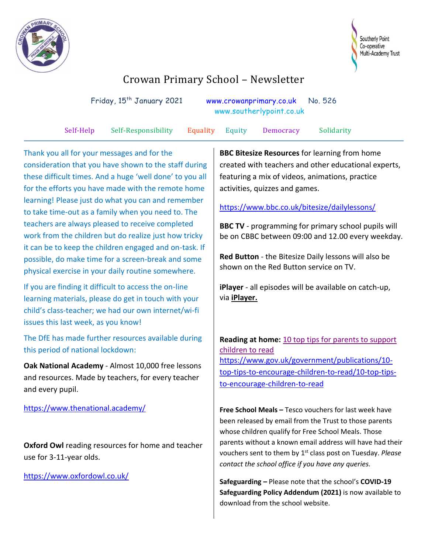



# Crowan Primary School – Newsletter

|  | Friday, 15 <sup>th</sup> January 2021 |  |  | www.crowanprimary.co.uk No. 526<br>www.southerlypoint.co.uk |  |           |  |
|--|---------------------------------------|--|--|-------------------------------------------------------------|--|-----------|--|
|  |                                       |  |  |                                                             |  |           |  |
|  |                                       |  |  |                                                             |  | - - - - - |  |

Self-Help Self-Responsibility Equality Equity Democracy Solidarity

Thank you all for your messages and for the consideration that you have shown to the staff during these difficult times. And a huge 'well done' to you all for the efforts you have made with the remote home learning! Please just do what you can and remember to take time-out as a family when you need to. The teachers are always pleased to receive completed work from the children but do realize just how tricky it can be to keep the children engaged and on-task. If possible, do make time for a screen-break and some physical exercise in your daily routine somewhere.

If you are finding it difficult to access the on-line learning materials, please do get in touch with your child's class-teacher; we had our own internet/wi-fi issues this last week, as you know!

The DfE has made further resources available during this period of national lockdown:

**Oak National Academy** - Almost 10,000 free lessons and resources. Made by teachers, for every teacher and every pupil.

<https://www.thenational.academy/>

**Oxford Owl** reading resources for home and teacher use for 3-11-year olds.

<https://www.oxfordowl.co.uk/>

**BBC Bitesize Resources** for learning from home created with teachers and other educational experts, featuring a mix of videos, animations, practice activities, quizzes and games.

<https://www.bbc.co.uk/bitesize/dailylessons/>

**BBC TV** - programming for primary school pupils will be on CBBC between 09:00 and 12.00 every weekday.

**Red Button** - the Bitesize Daily lessons will also be shown on the Red Button service on TV.

**iPlayer** - all episodes will be available on catch-up, via **[iPlayer.](https://www.bbc.co.uk/iplayer/group/p093cv85)**

**Reading at home:** [10 top tips for parents to support](https://www.gov.uk/government/publications/10-top-tips-to-encourage-children-to-read?utm_source=2320ec48-9777-43be-8336-ca691bbb9cfe&utm_medium=email&utm_campaign=govuk-notifications&utm_content=immediate)  [children to read](https://www.gov.uk/government/publications/10-top-tips-to-encourage-children-to-read?utm_source=2320ec48-9777-43be-8336-ca691bbb9cfe&utm_medium=email&utm_campaign=govuk-notifications&utm_content=immediate) [https://www.gov.uk/government/publications/10](https://www.gov.uk/government/publications/10-top-tips-to-encourage-children-to-read/10-top-tips-to-encourage-children-to-read) [top-tips-to-encourage-children-to-read/10-top-tips](https://www.gov.uk/government/publications/10-top-tips-to-encourage-children-to-read/10-top-tips-to-encourage-children-to-read)[to-encourage-children-to-read](https://www.gov.uk/government/publications/10-top-tips-to-encourage-children-to-read/10-top-tips-to-encourage-children-to-read)

**Free School Meals –** Tesco vouchers for last week have been released by email from the Trust to those parents whose children qualify for Free School Meals. Those parents without a known email address will have had their vouchers sent to them by 1<sup>st</sup> class post on Tuesday. *Please contact the school office if you have any queries.*

**Safeguarding –** Please note that the school's **COVID-19 Safeguarding Policy Addendum (2021)** is now available to download from the school website.